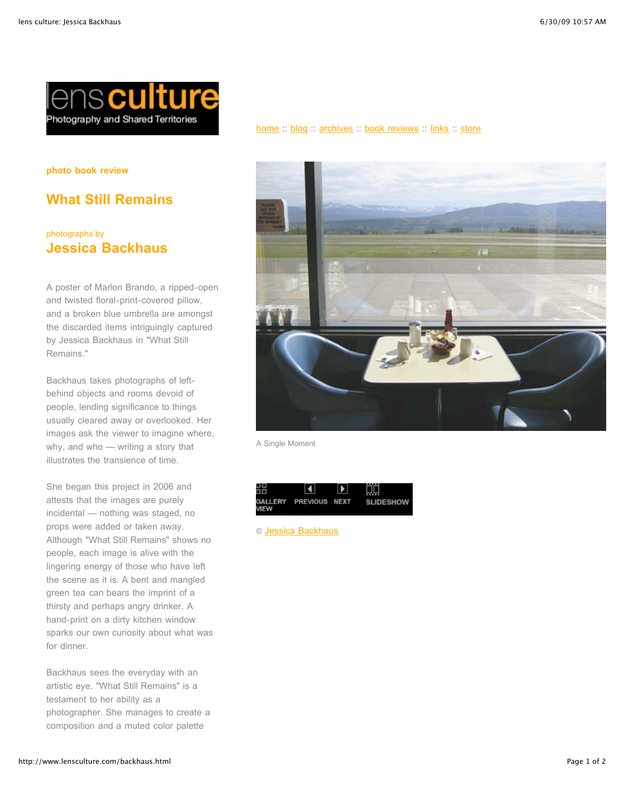

**photo book review**

## **What Still Remains**

## photographs by **Jessica Backhaus**

A poster of Marlon Brando, a ripped-open and twisted floral-print-covered pillow, and a broken blue umbrella are amongst the discarded items intriguingly captured by Jessica Backhaus in "What Still Remains."

Backhaus takes photographs of leftbehind objects and rooms devoid of people, lending significance to things usually cleared away or overlooked. Her images ask the viewer to imagine where, why, and who — writing a story that illustrates the transience of time.

She began this project in 2006 and attests that the images are purely incidental — nothing was staged, no props were added or taken away. Although "What Still Remains" shows no people, each image is alive with the lingering energy of those who have left the scene as it is. A bent and mangled green tea can bears the imprint of a thirsty and perhaps angry drinker. A hand-print on a dirty kitchen window sparks our own curiosity about what was for dinner.

Backhaus sees the everyday with an artistic eye. "What Still Remains" is a testament to her ability as a photographer. She manages to create a composition and a muted color palette

## [home](http://www.lensculture.com/index.html) :: [blog](http://www.lensculture.com/webloglc/index.html) :: [archives](http://www.lensculture.com/archives.html) :: [book reviews](http://www.lensculture.com/bookreview.html) :: [links](http://www.lensculture.com/links.html) :: [store](http://www.lensculture.com/store/index.html)



A Single Moment

| ╬           |                       | ▶ | U.               |
|-------------|-----------------------|---|------------------|
| <b>VIEW</b> | GALLERY PREVIOUS NEXT |   | <b>SLIDESHOW</b> |

© [Jessica Backhaus](http://www.jessicabackhaus.net/)